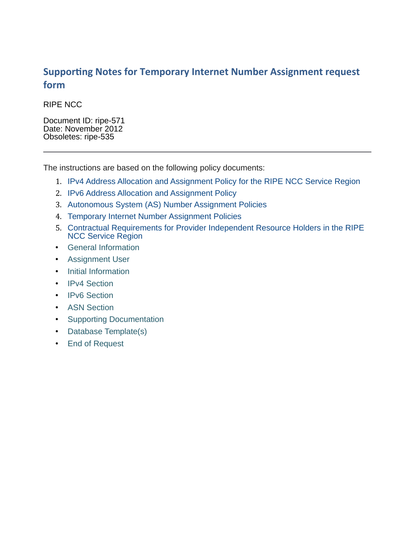#### **Supporting Notes for Temporary Internet Number Assignment request form**

RIPE NCC

Document ID: ripe-571 Date: November 2012 Obsoletes: ripe-535

The instructions are based on the following policy documents:

- 1. [IPv4 Address Allocation and Assignment Policy for the RIPE NCC Service Region](http://www.ripe.net/ripe/docs/ipv4-policies.html)
- 2. [IPv6 Address Allocation and Assignment Policy](http://www.ripe.net/ripe/docs/ipv6-policies)
- 3. [Autonomous System \(AS\) Number Assignment Policies](http://www.ripe.net/ripe/docs/asn-assignment)
- 4. [Temporary Internet Number Assignment Policies](http://www.ripe.net/ripe/docs/temporary-assignment)
- 5. [Contractual Requirements for Provider Independent Resource Holders in the RIPE](http://www.ripe.net/ripe/docs/contract-req) [NCC Service Region](http://www.ripe.net/ripe/docs/contract-req)
- [General Information](#page-1-1)
- [Assignment User](#page-1-0)
- [Initial Information](#page-2-0)
- [IPv4 Section](#page-3-0)
- [IPv6 Section](#page-4-0)
- [ASN Section](#page-5-0)
- [Supporting Documentation](#page-6-0)
- [Database Template\(s\)](#page-7-0)
- [End of Request](#page-9-0)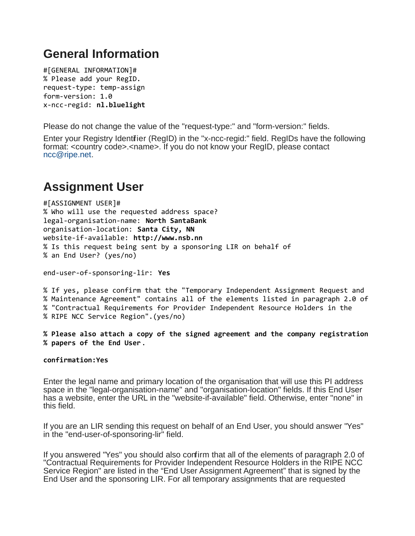# <span id="page-1-1"></span>**General Information**

#[GENERAL INFORMATION]# % Please add your RegID. request-type: temp-assign form-version: 1.0 x-ncc-regid: **nl.bluelight**

Please do not change the value of the "request-type:" and "form-version:" fields.

Enter your Registry Identifier (RegID) in the "x-ncc-regid:" field. RegIDs have the following format: <country code>.<name>. If you do not know your RegID, please contact [ncc@ripe.net.](mailto:ncc@ripe.net)

# <span id="page-1-0"></span>**Assignment User**

#[ASSIGNMENT USER]# % Who will use the requested address space? legal-organisation-name: **North SantaBank** organisation-location: **Santa City, NN** website-if-available: **http://www.nsb.nn** % Is this request being sent by a sponsoring LIR on behalf of % an End User? (yes/no)

end-user-of-sponsoring-lir: **Yes**

% If yes, please confirm that the "Temporary Independent Assignment Request and % Maintenance Agreement" contains all of the elements listed in paragraph 2.0 of % "Contractual Requirements for Provider Independent Resource Holders in the % RIPE NCC Service Region".(yes/no)

**% Please also attach a copy of the signed agreement and the company registration % papers of the End User**.

#### **confirmation:Yes**

Enter the legal name and primary location of the organisation that will use this PI address space in the "legal-organisation-name" and "organisation-location" fields. If this End User has a website, enter the URL in the "website-if-available" field. Otherwise, enter "none" in this field.

If you are an LIR sending this request on behalf of an End User, you should answer "Yes" in the "end-user-of-sponsoring-lir" field.

If you answered "Yes" you should also confirm that all of the elements of paragraph 2.0 of "Contractual Requirements for Provider Independent Resource Holders in the RIPE NCC Service Region" are listed in the "End User Assignment Agreement" that is signed by the End User and the sponsoring LIR. For all temporary assignments that are requested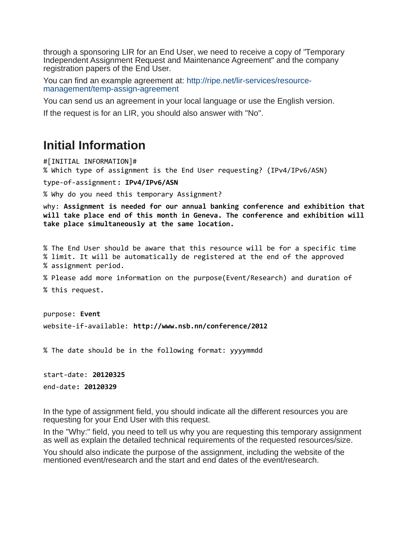through a sponsoring LIR for an End User, we need to receive a copy of "Temporary Independent Assignment Request and Maintenance Agreement" and the company registration papers of the End User.

You can find an example agreement at: [http://ripe.net/lir-services/resource](http://ripe.net/lir-services/resource-management/temp-assign-agreement)[management/temp-assign-agreement](http://ripe.net/lir-services/resource-management/temp-assign-agreement)

You can send us an agreement in your local language or use the English version.

If the request is for an LIR, you should also answer with "No".

## <span id="page-2-0"></span>**Initial Information**

#[INITIAL INFORMATION]#

% Which type of assignment is the End User requesting? (IPv4/IPv6/ASN)

type-of-assignment**: IPv4/IPv6/ASN**

% Why do you need this temporary Assignment?

why: **Assignment is needed for our annual banking conference and exhibition that will take place end of this month in Geneva. The conference and exhibition will take place simultaneously at the same location.**

% The End User should be aware that this resource will be for a specific time % limit. It will be automatically de registered at the end of the approved % assignment period.

% Please add more information on the purpose(Event/Research) and duration of % this request.

purpose: **Event** website-if-available: **http://www.nsb.nn/conference/2012**

% The date should be in the following format: yyyymmdd

start-date: **20120325** end-date**: 20120329**

In the type of assignment field, you should indicate all the different resources you are requesting for your End User with this request.

In the "Why:" field, you need to tell us why you are requesting this temporary assignment as well as explain the detailed technical requirements of the requested resources/size.

You should also indicate the purpose of the assignment, including the website of the mentioned event/research and the start and end dates of the event/research.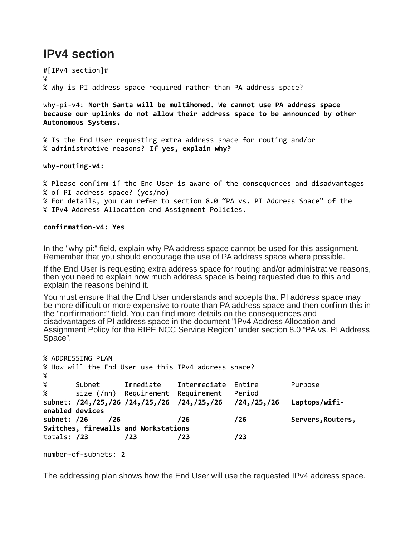## <span id="page-3-0"></span>**IPv4 section**

#[IPv4 section]# % % Why is PI address space required rather than PA address space?

why-pi-v4: **North Santa will be multihomed. We cannot use PA address space because our uplinks do not allow their address space to be announced by other Autonomous Systems.**

% Is the End User requesting extra address space for routing and/or % administrative reasons? **If yes, explain why?**

**why-routing-v4:**

% Please confirm if the End User is aware of the consequences and disadvantages % of PI address space? (yes/no) % For details, you can refer to section 8.0 "PA vs. PI Address Space" of the % IPv4 Address Allocation and Assignment Policies.

**confirmation-v4: Yes**

In the "why-pi:" field, explain why PA address space cannot be used for this assignment. Remember that you should encourage the use of PA address space where possible.

If the End User is requesting extra address space for routing and/or administrative reasons, then you need to explain how much address space is being requested due to this and explain the reasons behind it.

You must ensure that the End User understands and accepts that PI address space may be more difficult or more expensive to route than PA address space and then confirm this in the "confirmation:" field. You can find more details on the consequences and disadvantages of PI address space in the document "IPv4 Address Allocation and Assignment Policy for the RIPE NCC Service Region" under section 8.0 "PA vs. PI Address Space".

```
% ADDRESSING PLAN
% How will the End User use this IPv4 address space?
% 
% Subnet Immediate Intermediate Entire Purpose
% size (/nn) Requirement Requirement Period
subnet: /24,/25,/26 /24,/25,/26 /24,/25,/26 /24,/25,/26 Laptops/wifi-
enabled devices
subnet: /26 /26 /26 /26 Servers,Routers,
Switches, firewalls and Workstations
totals: /23 /23 /23 /23 
number-of-subnets: 2
```
The addressing plan shows how the End User will use the requested IPv4 address space.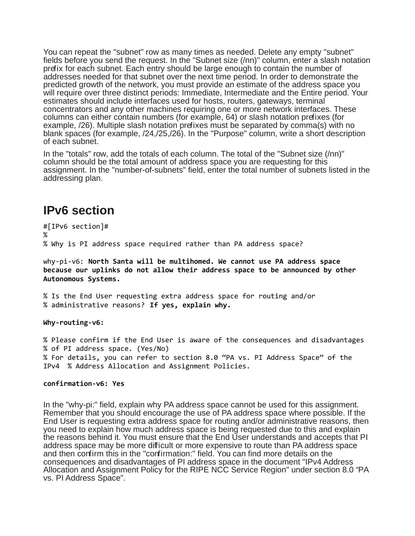You can repeat the "subnet" row as many times as needed. Delete any empty "subnet" fields before you send the request. In the "Subnet size (/nn)" column, enter a slash notation prefix for each subnet. Each entry should be large enough to contain the number of addresses needed for that subnet over the next time period. In order to demonstrate the predicted growth of the network, you must provide an estimate of the address space you will require over three distinct periods: Immediate, Intermediate and the Entire period. Your estimates should include interfaces used for hosts, routers, gateways, terminal concentrators and any other machines requiring one or more network interfaces. These columns can either contain numbers (for example, 64) or slash notation prefixes (for example, /26). Multiple slash notation prefixes must be separated by comma(s) with no blank spaces (for example, /24,/25,/26). In the "Purpose" column, write a short description of each subnet.

In the "totals" row, add the totals of each column. The total of the "Subnet size (/nn)" column should be the total amount of address space you are requesting for this assignment. In the "number-of-subnets" field, enter the total number of subnets listed in the addressing plan.

#### <span id="page-4-0"></span>**IPv6 section**

#[IPv6 section]# % % Why is PI address space required rather than PA address space?

why-pi-v6: **North Santa will be multihomed. We cannot use PA address space because our uplinks do not allow their address space to be announced by other Autonomous Systems.**

% Is the End User requesting extra address space for routing and/or % administrative reasons? **If yes, explain why.**

**Why-routing-v6:**

% Please confirm if the End User is aware of the consequences and disadvantages % of PI address space. (Yes/No) % For details, you can refer to section 8.0 "PA vs. PI Address Space" of the IPv4 % Address Allocation and Assignment Policies.

#### **confirmation-v6: Yes**

In the "why-pi:" field, explain why PA address space cannot be used for this assignment. Remember that you should encourage the use of PA address space where possible. If the End User is requesting extra address space for routing and/or administrative reasons, then you need to explain how much address space is being requested due to this and explain the reasons behind it. You must ensure that the End User understands and accepts that PI address space may be more difficult or more expensive to route than PA address space and then confirm this in the "confirmation:" field. You can find more details on the consequences and disadvantages of PI address space in the document "IPv4 Address Allocation and Assignment Policy for the RIPE NCC Service Region" under section 8.0 "PA vs. PI Address Space".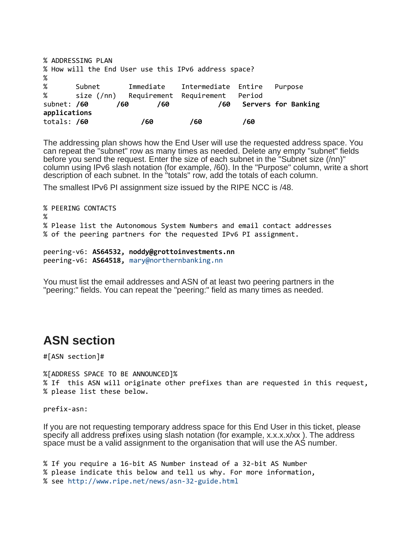```
% ADDRESSING PLAN
% How will the End User use this IPv6 address space?
% 
% Subnet Immediate Intermediate Entire Purpose
% size (/nn) Requirement Requirement Period
subnet: /60 /60 /60 /60 Servers for Banking
applications 
totals: /60 /60 /60 /60
```
The addressing plan shows how the End User will use the requested address space. You can repeat the "subnet" row as many times as needed. Delete any empty "subnet" fields before you send the request. Enter the size of each subnet in the "Subnet size (/nn)" column using IPv6 slash notation (for example, /60). In the "Purpose" column, write a short description of each subnet. In the "totals" row, add the totals of each column.

The smallest IPv6 PI assignment size issued by the RIPE NCC is /48.

```
% PEERING CONTACTS
%
% Please list the Autonomous System Numbers and email contact addresses 
% of the peering partners for the requested IPv6 PI assignment.
```

```
peering-v6: AS64532, noddy@grottoinvestments.nn
peering-v6: AS64518, mary@northernbanking.nn
```
You must list the email addresses and ASN of at least two peering partners in the "peering:" fields. You can repeat the "peering:" field as many times as needed.

## <span id="page-5-0"></span>**ASN section**

#[ASN section]#

%[ADDRESS SPACE TO BE ANNOUNCED]% % If this ASN will originate other prefixes than are requested in this request, % please list these below.

prefix-asn:

If you are not requesting temporary address space for this End User in this ticket, please specify all address prefixes using slash notation (for example, x.x.x.x/xx). The address space must be a valid assignment to the organisation that will use the AS number.

```
% If you require a 16-bit AS Number instead of a 32-bit AS Number 
% please indicate this below and tell us why. For more information,
% see http://www.ripe.net/news/asn-32-guide.html
```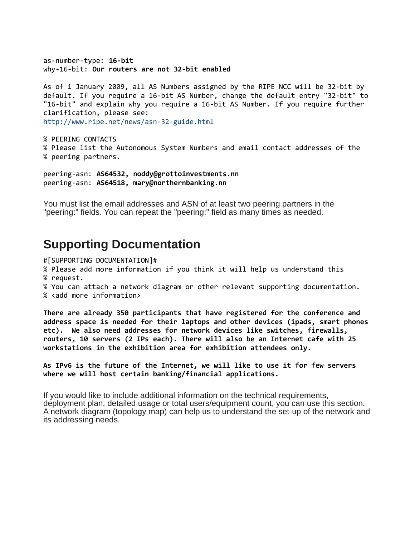as-number-type: **16-bit** why-16-bit: **Our routers are not 32-bit enabled**

As of 1 January 2009, all AS Numbers assigned by the RIPE NCC will be 32-bit by default. If you require a 16-bit AS Number, change the default entry "32-bit" to "16-bit" and explain why you require a 16-bit AS Number. If you require further clarification, please see: <http://www.ripe.net/news/asn-32-guide.html>

% PEERING CONTACTS % Please list the Autonomous System Numbers and email contact addresses of the % peering partners.

peering-asn: **AS64532, noddy@grottoinvestments.nn** peering-asn: **AS64518, mary@northernbanking.nn**

You must list the email addresses and ASN of at least two peering partners in the "peering:" fields. You can repeat the "peering:" field as many times as needed.

## <span id="page-6-0"></span>**Supporting Documentation**

#[SUPPORTING DOCUMENTATION]#

% Please add more information if you think it will help us understand this % request.

% You can attach a network diagram or other relevant supporting documentation.

% <add more information>

**There are already 350 participants that have registered for the conference and address space is needed for their laptops and other devices (ipads, smart phones etc). We also need addresses for network devices like switches, firewalls, routers, 10 servers (2 IPs each). There will also be an Internet cafe with 25 workstations in the exhibition area for exhibition attendees only.** 

**As IPv6 is the future of the Internet, we will like to use it for few servers where we will host certain banking/financial applications.**

If you would like to include additional information on the technical requirements, deployment plan, detailed usage or total users/equipment count, you can use this section. A network diagram (topology map) can help us to understand the set-up of the network and its addressing needs.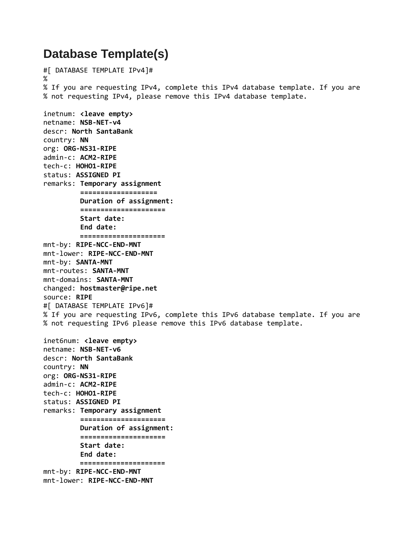## <span id="page-7-0"></span>**Database Template(s)**

```
#[ DATABASE TEMPLATE IPv4]#
%
% If you are requesting IPv4, complete this IPv4 database template. If you are
% not requesting IPv4, please remove this IPv4 database template. 
inetnum: <leave empty>
netname: NSB-NET-v4
descr: North SantaBank
country: NN
org: ORG-NS31-RIPE
admin-c: ACM2-RIPE
tech-c: HOHO1-RIPE
status: ASSIGNED PI
remarks: Temporary assignment
          ===================
          Duration of assignment:
          =====================
          Start date:
          End date:
          =====================
mnt-by: RIPE-NCC-END-MNT
mnt-lower: RIPE-NCC-END-MNT
mnt-by: SANTA-MNT
mnt-routes: SANTA-MNT
mnt-domains: SANTA-MNT
changed: hostmaster@ripe.net
source: RIPE
#[ DATABASE TEMPLATE IPv6]#
% If you are requesting IPv6, complete this IPv6 database template. If you are
% not requesting IPv6 please remove this IPv6 database template. 
inet6num: <leave empty>
netname: NSB-NET-v6
descr: North SantaBank
country: NN
org: ORG-NS31-RIPE
admin-c: ACM2-RIPE
tech-c: HOHO1-RIPE
status: ASSIGNED PI
remarks: Temporary assignment
          =====================
          Duration of assignment:
          =====================
          Start date:
          End date:
          =====================
mnt-by: RIPE-NCC-END-MNT
mnt-lower: RIPE-NCC-END-MNT
```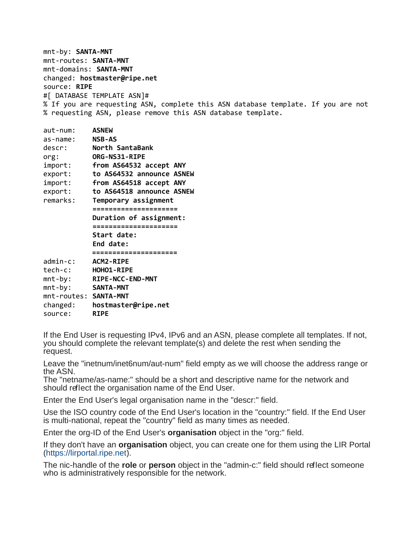mnt-by: **SANTA-MNT** mnt-routes: **SANTA-MNT** mnt-domains: **SANTA-MNT** changed: **hostmaster@ripe.net** source: **RIPE** #[ DATABASE TEMPLATE ASN]# % If you are requesting ASN, complete this ASN database template. If you are not % requesting ASN, please remove this ASN database template.

| $aut$ -num:           | <b>ASNEW</b>              |
|-----------------------|---------------------------|
| as-name:              | <b>NSB-AS</b>             |
| descr:                | North SantaBank           |
| org:                  | <b>ORG-NS31-RIPE</b>      |
| import:               | from AS64532 accept ANY   |
| export:               | to AS64532 announce ASNEW |
| import:               | from AS64518 accept ANY   |
| export:               | to AS64518 announce ASNEW |
| remarks:              | Temporary assignment      |
|                       | =====================     |
|                       | Duration of assignment:   |
|                       |                           |
|                       | Start date:               |
|                       | End date:                 |
|                       | ==================        |
| $admin-c$ :           | <b>ACM2-RIPE</b>          |
| tech-c:               | HOHO1-RIPE                |
| $mnt-by:$             | RIPE-NCC-END-MNT          |
| $mnt-by:$             | <b>SANTA-MNT</b>          |
| mnt-routes: SANTA-MNT |                           |
| changed:              | hostmaster@ripe.net       |
| source:               | <b>RIPE</b>               |
|                       |                           |

If the End User is requesting IPv4, IPv6 and an ASN, please complete all templates. If not, you should complete the relevant template(s) and delete the rest when sending the request.

Leave the "inetnum/inet6num/aut-num" field empty as we will choose the address range or the ASN.

The "netname/as-name:" should be a short and descriptive name for the network and should reflect the organisation name of the End User.

Enter the End User's legal organisation name in the "descr:" field.

Use the ISO country code of the End User's location in the "country:" field. If the End User is multi-national, repeat the "country" field as many times as needed.

Enter the org-ID of the End User's **organisation** object in the "org:" field.

If they don't have an **organisation** object, you can create one for them using the LIR Portal [\(https://lirportal.ripe.net\)](https://lirportal.ripe.net/).

The nic-handle of the **role** or **person** object in the "admin-c:" field should reflect someone who is administratively responsible for the network.